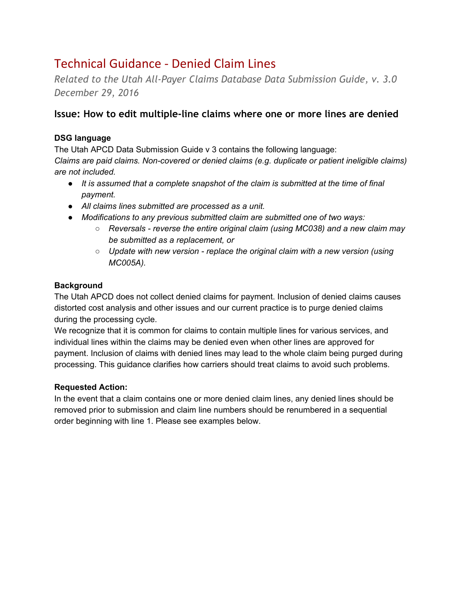# Technical Guidance - Denied Claim Lines

*Related to the Utah All-Payer Claims Database Data Submission Guide, v. 3.0 December 29, 2016*

# **Issue: How to edit multiple-line claims where one or more lines are denied**

#### **DSG language**

The Utah APCD Data Submission Guide v 3 contains the following language: *Claims are paid claims. Non-covered or denied claims (e.g. duplicate or patient ineligible claims) are not included.*

- *● It is assumed that a complete snapshot of the claim is submitted at the time of final payment.*
- *● All claims lines submitted are processed as a unit.*
- *● Modifications to any previous submitted claim are submitted one of two ways:*
	- *○ Reversals reverse the entire original claim (using MC038) and a new claim may be submitted as a replacement, or*
	- *○ Update with new version replace the original claim with a new version (using MC005A).*

## **Background**

The Utah APCD does not collect denied claims for payment. Inclusion of denied claims causes distorted cost analysis and other issues and our current practice is to purge denied claims during the processing cycle.

We recognize that it is common for claims to contain multiple lines for various services, and individual lines within the claims may be denied even when other lines are approved for payment. Inclusion of claims with denied lines may lead to the whole claim being purged during processing. This guidance clarifies how carriers should treat claims to avoid such problems.

## **Requested Action:**

In the event that a claim contains one or more denied claim lines, any denied lines should be removed prior to submission and claim line numbers should be renumbered in a sequential order beginning with line 1. Please see examples below.